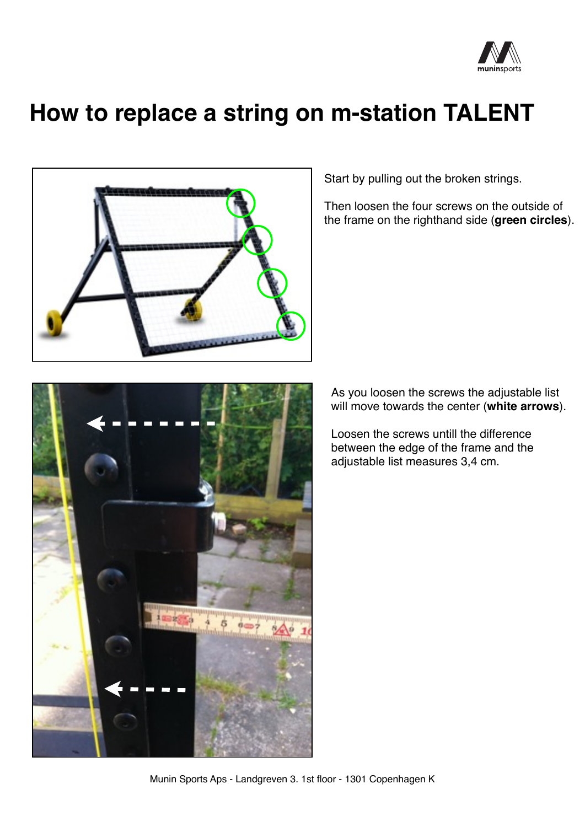

## **How to replace a string on m-station TALENT**





Start by pulling out the broken strings.

Then loosen the four screws on the outside of the frame on the righthand side (**green circles**).

As you loosen the screws the adjustable list will move towards the center (**white arrows**).

Loosen the screws untill the difference between the edge of the frame and the adjustable list measures 3,4 cm.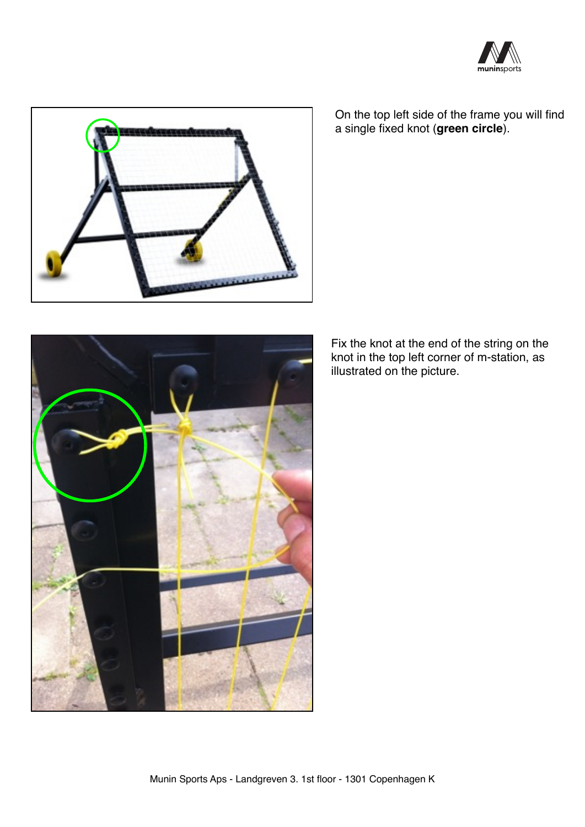



On the top left side of the frame you will find a single fixed knot (**green circle**).

Fix the knot at the end of the string on the knot in the top left corner of m-station, as illustrated on the picture.

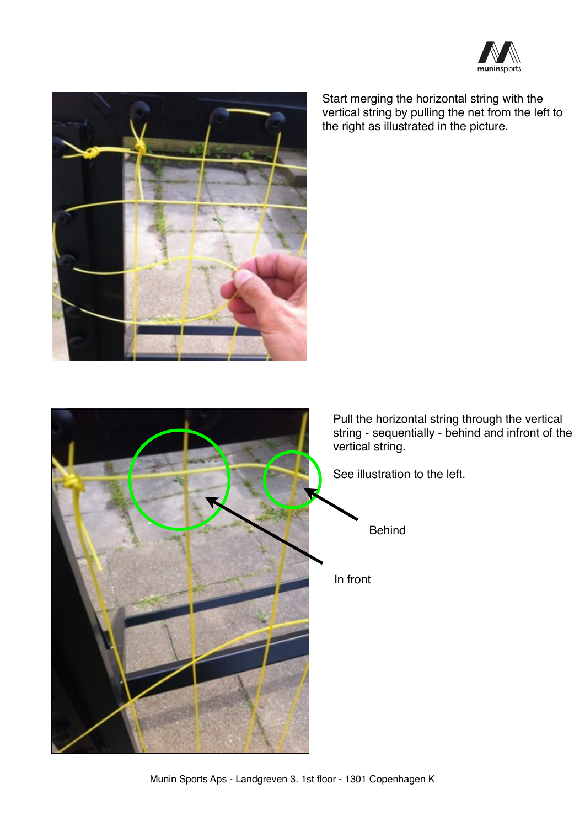



Start merging the horizontal string with the vertical string by pulling the net from the left to the right as illustrated in the picture.



Pull the horizontal string through the vertical string - sequentially - behind and infront of the

See illustration to the left.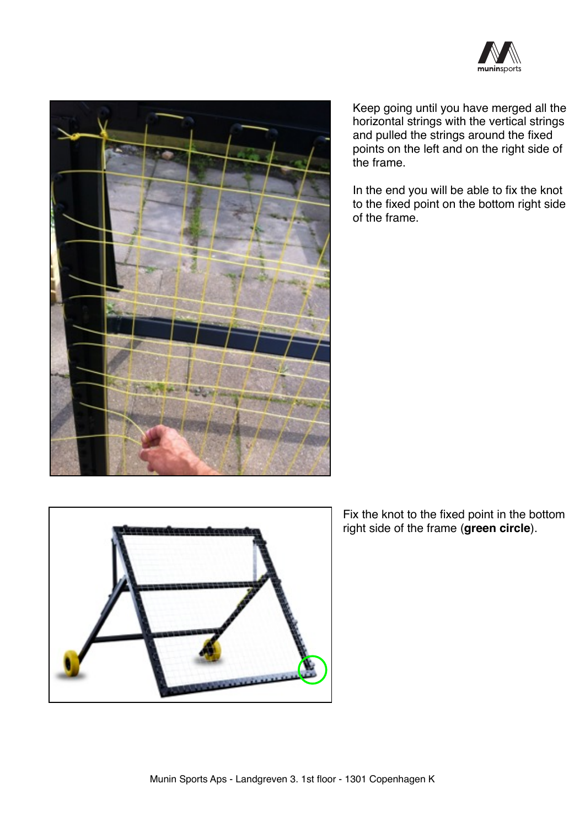



Keep going until you have merged all the horizontal strings with the vertical strings and pulled the strings around the fixed points on the left and on the right side of the frame.

In the end you will be able to fix the knot to the fixed point on the bottom right side of the frame.



Fix the knot to the fixed point in the bottom right side of the frame (**green circle**).